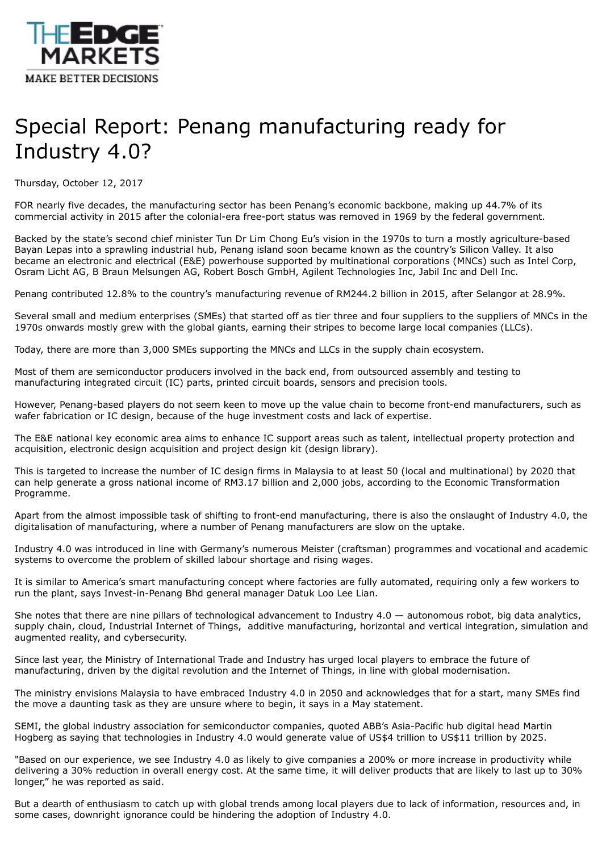

## Special Report: Penang manufacturing ready for Industry 4.0?

Thursday, October 12, 2017

FOR nearly five decades, the manufacturing sector has been Penang's economic backbone, making up 44.7% of its commercial activity in 2015 after the colonial-era free-port status was removed in 1969 by the federal government.

Backed by the state's second chief minister Tun Dr Lim Chong Eu's vision in the 1970s to turn a mostly agriculture-based Bayan Lepas into a sprawling industrial hub, Penang island soon became known as the country's Silicon Valley. It also became an electronic and electrical (E&E) powerhouse supported by multinational corporations (MNCs) such as Intel Corp, Osram Licht AG, B Braun Melsungen AG, Robert Bosch GmbH, Agilent Technologies Inc, Jabil Inc and Dell Inc.

Penang contributed 12.8% to the country's manufacturing revenue of RM244.2 billion in 2015, after Selangor at 28.9%.

Several small and medium enterprises (SMEs) that started off as tier three and four suppliers to the suppliers of MNCs in the 1970s onwards mostly grew with the global giants, earning their stripes to become large local companies (LLCs).

Today, there are more than 3,000 SMEs supporting the MNCs and LLCs in the supply chain ecosystem.

Most of them are semiconductor producers involved in the back end, from outsourced assembly and testing to manufacturing integrated circuit (IC) parts, printed circuit boards, sensors and precision tools.

However, Penang-based players do not seem keen to move up the value chain to become front-end manufacturers, such as wafer fabrication or IC design, because of the huge investment costs and lack of expertise.

The E&E national key economic area aims to enhance IC support areas such as talent, intellectual property protection and acquisition, electronic design acquisition and project design kit (design library).

This is targeted to increase the number of IC design firms in Malaysia to at least 50 (local and multinational) by 2020 that can help generate a gross national income of RM3.17 billion and 2,000 jobs, according to the Economic Transformation Programme.

Apart from the almost impossible task of shifting to front-end manufacturing, there is also the onslaught of Industry 4.0, the digitalisation of manufacturing, where a number of Penang manufacturers are slow on the uptake.

Industry 4.0 was introduced in line with Germany's numerous Meister (craftsman) programmes and vocational and academic systems to overcome the problem of skilled labour shortage and rising wages.

It is similar to America's smart manufacturing concept where factories are fully automated, requiring only a few workers to run the plant, says Invest-in-Penang Bhd general manager Datuk Loo Lee Lian.

She notes that there are nine pillars of technological advancement to Industry  $4.0 -$  autonomous robot, big data analytics, supply chain, cloud, Industrial Internet of Things, additive manufacturing, horizontal and vertical integration, simulation and augmented reality, and cybersecurity.

Since last year, the Ministry of International Trade and Industry has urged local players to embrace the future of manufacturing, driven by the digital revolution and the Internet of Things, in line with global modernisation.

The ministry envisions Malaysia to have embraced Industry 4.0 in 2050 and acknowledges that for a start, many SMEs find the move a daunting task as they are unsure where to begin, it says in a May statement.

SEMI, the global industry association for semiconductor companies, quoted ABB's Asia-Pacific hub digital head Martin Hogberg as saying that technologies in Industry 4.0 would generate value of US\$4 trillion to US\$11 trillion by 2025.

"Based on our experience, we see Industry 4.0 as likely to give companies a 200% or more increase in productivity while delivering a 30% reduction in overall energy cost. At the same time, it will deliver products that are likely to last up to 30% longer," he was reported as said.

But a dearth of enthusiasm to catch up with global trends among local players due to lack of information, resources and, in some cases, downright ignorance could be hindering the adoption of Industry 4.0.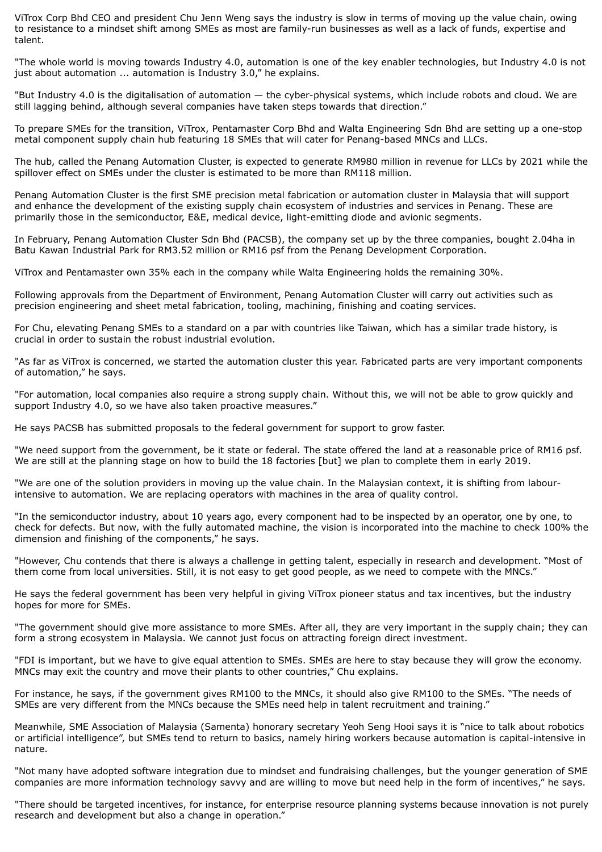ViTrox Corp Bhd CEO and president Chu Jenn Weng says the industry is slow in terms of moving up the value chain, owing to resistance to a mindset shift among SMEs as most are family-run businesses as well as a lack of funds, expertise and talent.

"The whole world is moving towards Industry 4.0, automation is one of the key enabler technologies, but Industry 4.0 is not just about automation ... automation is Industry 3.0," he explains.

"But Industry 4.0 is the digitalisation of automation — the cyber-physical systems, which include robots and cloud. We are still lagging behind, although several companies have taken steps towards that direction."

To prepare SMEs for the transition, ViTrox, Pentamaster Corp Bhd and Walta Engineering Sdn Bhd are setting up a one-stop metal component supply chain hub featuring 18 SMEs that will cater for Penang-based MNCs and LLCs.

The hub, called the Penang Automation Cluster, is expected to generate RM980 million in revenue for LLCs by 2021 while the spillover effect on SMEs under the cluster is estimated to be more than RM118 million.

Penang Automation Cluster is the first SME precision metal fabrication or automation cluster in Malaysia that will support and enhance the development of the existing supply chain ecosystem of industries and services in Penang. These are primarily those in the semiconductor, E&E, medical device, light-emitting diode and avionic segments.

In February, Penang Automation Cluster Sdn Bhd (PACSB), the company set up by the three companies, bought 2.04ha in Batu Kawan Industrial Park for RM3.52 million or RM16 psf from the Penang Development Corporation.

ViTrox and Pentamaster own 35% each in the company while Walta Engineering holds the remaining 30%.

Following approvals from the Department of Environment, Penang Automation Cluster will carry out activities such as precision engineering and sheet metal fabrication, tooling, machining, finishing and coating services.

For Chu, elevating Penang SMEs to a standard on a par with countries like Taiwan, which has a similar trade history, is crucial in order to sustain the robust industrial evolution.

"As far as ViTrox is concerned, we started the automation cluster this year. Fabricated parts are very important components of automation," he says.

"For automation, local companies also require a strong supply chain. Without this, we will not be able to grow quickly and support Industry 4.0, so we have also taken proactive measures."

He says PACSB has submitted proposals to the federal government for support to grow faster.

"We need support from the government, be it state or federal. The state offered the land at a reasonable price of RM16 psf. We are still at the planning stage on how to build the 18 factories [but] we plan to complete them in early 2019.

"We are one of the solution providers in moving up the value chain. In the Malaysian context, it is shifting from labourintensive to automation. We are replacing operators with machines in the area of quality control.

"In the semiconductor industry, about 10 years ago, every component had to be inspected by an operator, one by one, to check for defects. But now, with the fully automated machine, the vision is incorporated into the machine to check 100% the dimension and finishing of the components," he says.

"However, Chu contends that there is always a challenge in getting talent, especially in research and development. "Most of them come from local universities. Still, it is not easy to get good people, as we need to compete with the MNCs."

He says the federal government has been very helpful in giving ViTrox pioneer status and tax incentives, but the industry hopes for more for SMEs.

"The government should give more assistance to more SMEs. After all, they are very important in the supply chain; they can form a strong ecosystem in Malaysia. We cannot just focus on attracting foreign direct investment.

"FDI is important, but we have to give equal attention to SMEs. SMEs are here to stay because they will grow the economy. MNCs may exit the country and move their plants to other countries," Chu explains.

For instance, he says, if the government gives RM100 to the MNCs, it should also give RM100 to the SMEs. "The needs of SMEs are very different from the MNCs because the SMEs need help in talent recruitment and training."

Meanwhile, SME Association of Malaysia (Samenta) honorary secretary Yeoh Seng Hooi says it is "nice to talk about robotics or artificial intelligence", but SMEs tend to return to basics, namely hiring workers because automation is capital-intensive in nature.

"Not many have adopted software integration due to mindset and fundraising challenges, but the younger generation of SME companies are more information technology savvy and are willing to move but need help in the form of incentives," he says.

"There should be targeted incentives, for instance, for enterprise resource planning systems because innovation is not purely research and development but also a change in operation."